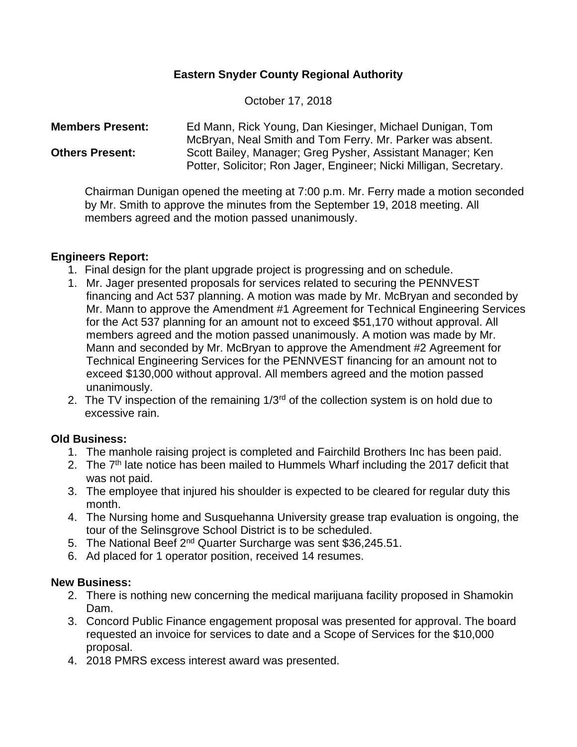# **Eastern Snyder County Regional Authority**

October 17, 2018

### **Members Present:** Ed Mann, Rick Young, Dan Kiesinger, Michael Dunigan, Tom McBryan, Neal Smith and Tom Ferry. Mr. Parker was absent. **Others Present:** Scott Bailey, Manager; Greg Pysher, Assistant Manager; Ken Potter, Solicitor; Ron Jager, Engineer; Nicki Milligan, Secretary.

Chairman Dunigan opened the meeting at 7:00 p.m. Mr. Ferry made a motion seconded by Mr. Smith to approve the minutes from the September 19, 2018 meeting. All members agreed and the motion passed unanimously.

# **Engineers Report:**

- 1. Final design for the plant upgrade project is progressing and on schedule.
- 1. Mr. Jager presented proposals for services related to securing the PENNVEST financing and Act 537 planning. A motion was made by Mr. McBryan and seconded by Mr. Mann to approve the Amendment #1 Agreement for Technical Engineering Services for the Act 537 planning for an amount not to exceed \$51,170 without approval. All members agreed and the motion passed unanimously. A motion was made by Mr. Mann and seconded by Mr. McBryan to approve the Amendment #2 Agreement for Technical Engineering Services for the PENNVEST financing for an amount not to exceed \$130,000 without approval. All members agreed and the motion passed unanimously.
- 2. The TV inspection of the remaining  $1/3<sup>rd</sup>$  of the collection system is on hold due to excessive rain.

# **Old Business:**

- 1. The manhole raising project is completed and Fairchild Brothers Inc has been paid.
- 2. The 7<sup>th</sup> late notice has been mailed to Hummels Wharf including the 2017 deficit that was not paid.
- 3. The employee that injured his shoulder is expected to be cleared for regular duty this month.
- 4. The Nursing home and Susquehanna University grease trap evaluation is ongoing, the tour of the Selinsgrove School District is to be scheduled.
- 5. The National Beef 2<sup>nd</sup> Quarter Surcharge was sent \$36,245.51.
- 6. Ad placed for 1 operator position, received 14 resumes.

### **New Business:**

- 2. There is nothing new concerning the medical marijuana facility proposed in Shamokin Dam.
- 3. Concord Public Finance engagement proposal was presented for approval. The board requested an invoice for services to date and a Scope of Services for the \$10,000 proposal.
- 4. 2018 PMRS excess interest award was presented.